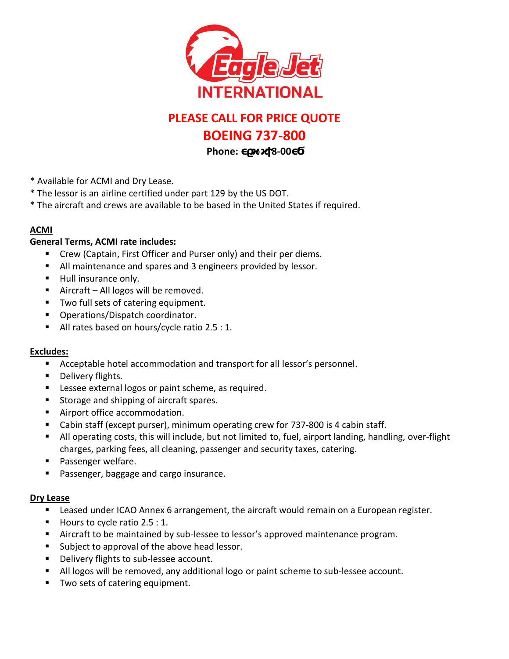

# **PLEASE CALL FOR PRICE QUOTE**

## **BOEING 737-800**

**Phone: •** 8-00

- \* Available for ACMI and Dry Lease.
- \* The lessor is an airline certified under part 129 by the US DOT.
- \* The aircraft and crews are available to be based in the United States if required.

#### **ACMI**

### **General Terms, ACMI rate includes:**

- Crew (Captain, First Officer and Purser only) and their per diems.
- All maintenance and spares and 3 engineers provided by lessor.
- **Hull insurance only.**
- Aircraft All logos will be removed.
- Two full sets of catering equipment.
- **Operations/Dispatch coordinator.**
- All rates based on hours/cycle ratio 2.5 : 1.

### **Excludes:**

- Acceptable hotel accommodation and transport for all lessor's personnel.
- **Delivery flights.**
- **Lessee external logos or paint scheme, as required.**
- **Storage and shipping of aircraft spares.**
- **Airport office accommodation.**
- Cabin staff (except purser), minimum operating crew for 737-800 is 4 cabin staff.
- All operating costs, this will include, but not limited to, fuel, airport landing, handling, over-flight charges, parking fees, all cleaning, passenger and security taxes, catering.
- **Passenger welfare.**
- **Passenger, baggage and cargo insurance.**

### **Dry Lease**

- **Leased under ICAO Annex 6 arrangement, the aircraft would remain on a European register.**
- Hours to cycle ratio  $2.5:1$ .
- Aircraft to be maintained by sub-lessee to lessor's approved maintenance program.
- **Subject to approval of the above head lessor.**
- **Delivery flights to sub-lessee account.**
- All logos will be removed, any additional logo or paint scheme to sub-lessee account.
- **Two sets of catering equipment.**